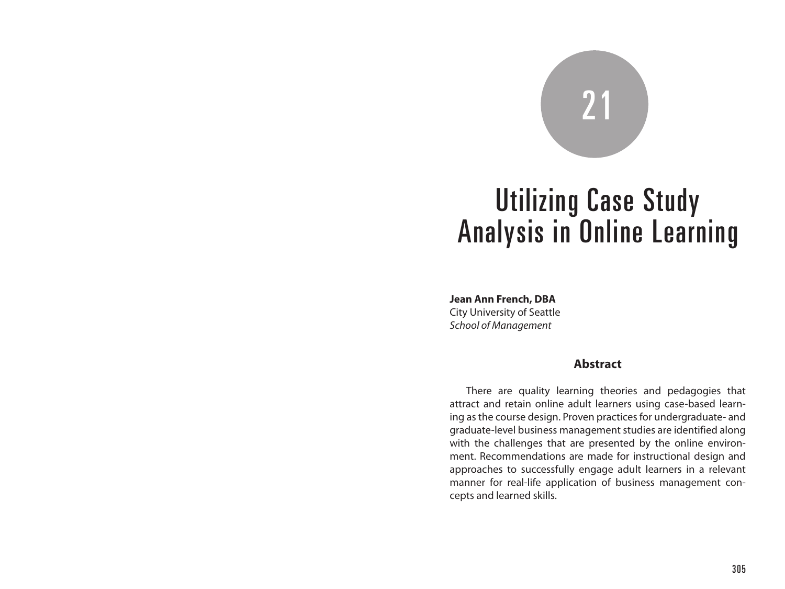# 21

# Utilizing Case Study Analysis in Online Learning

**Jean Ann French, DBA** City University of Seattle *School of Management*

#### **Abstract**

There are quality learning theories and pedagogies that attract and retain online adult learners using case-based learning as the course design. Proven practices for undergraduate- and graduate-level business management studies are identified along with the challenges that are presented by the online environment. Recommendations are made for instructional design and approaches to successfully engage adult learners in a relevant manner for real-life application of business management concepts and learned skills.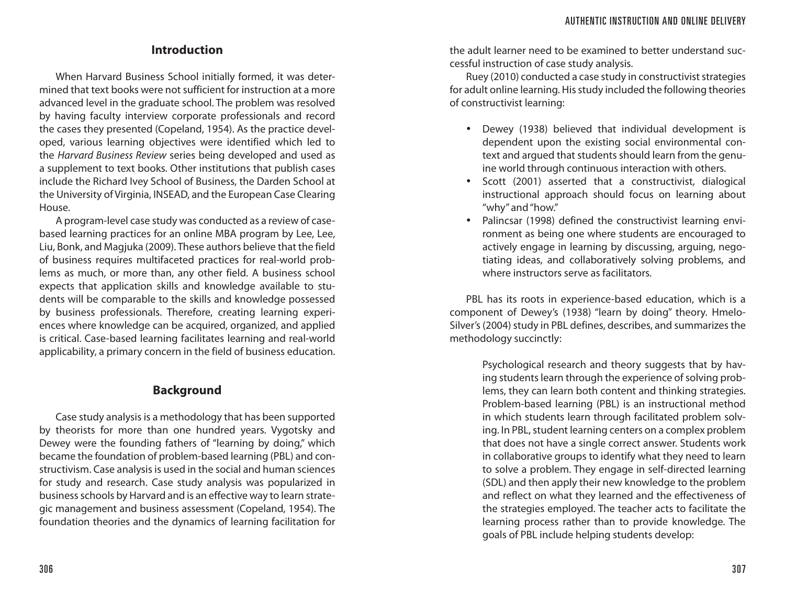### **Introduction**

When Harvard Business School initially formed, it was determined that text books were not sufficient for instruction at a more advanced level in the graduate school. The problem was resolved by having faculty interview corporate professionals and record the cases they presented (Copeland, 1954). As the practice developed, various learning objectives were identified which led to the *Harvard Business Review* series being developed and used as a supplement to text books. Other institutions that publish cases include the Richard Ivey School of Business, the Darden School at the University of Virginia, INSEAD, and the European Case Clearing House.

A program-level case study was conducted as a review of casebased learning practices for an online MBA program by Lee, Lee, Liu, Bonk, and Magjuka (2009). These authors believe that the field of business requires multifaceted practices for real-world problems as much, or more than, any other field. A business school expects that application skills and knowledge available to students will be comparable to the skills and knowledge possessed by business professionals. Therefore, creating learning experiences where knowledge can be acquired, organized, and applied is critical. Case-based learning facilitates learning and real-world applicability, a primary concern in the field of business education.

### **Background**

Case study analysis is a methodology that has been supported by theorists for more than one hundred years. Vygotsky and Dewey were the founding fathers of "learning by doing," which became the foundation of problem-based learning (PBL) and constructivism. Case analysis is used in the social and human sciences for study and research. Case study analysis was popularized in business schools by Harvard and is an effective way to learn strategic management and business assessment (Copeland, 1954). The foundation theories and the dynamics of learning facilitation for

the adult learner need to be examined to better understand successful instruction of case study analysis.

Ruey (2010) conducted a case study in constructivist strategies for adult online learning. His study included the following theories of constructivist learning:

- Dewey (1938) believed that individual development is dependent upon the existing social environmental context and argued that students should learn from the genuine world through continuous interaction with others.
- Scott (2001) asserted that a constructivist, dialogical instructional approach should focus on learning about "why" and "how."
- Palincsar (1998) defined the constructivist learning environment as being one where students are encouraged to actively engage in learning by discussing, arguing, negotiating ideas, and collaboratively solving problems, and where instructors serve as facilitators.

PBL has its roots in experience-based education, which is a component of Dewey's (1938) "learn by doing" theory. Hmelo-Silver's (2004) study in PBL defines, describes, and summarizes the methodology succinctly:

> Psychological research and theory suggests that by having students learn through the experience of solving problems, they can learn both content and thinking strategies. Problem-based learning (PBL) is an instructional method in which students learn through facilitated problem solving. In PBL, student learning centers on a complex problem that does not have a single correct answer. Students work in collaborative groups to identify what they need to learn to solve a problem. They engage in self-directed learning (SDL) and then apply their new knowledge to the problem and reflect on what they learned and the effectiveness of the strategies employed. The teacher acts to facilitate the learning process rather than to provide knowledge. The goals of PBL include helping students develop: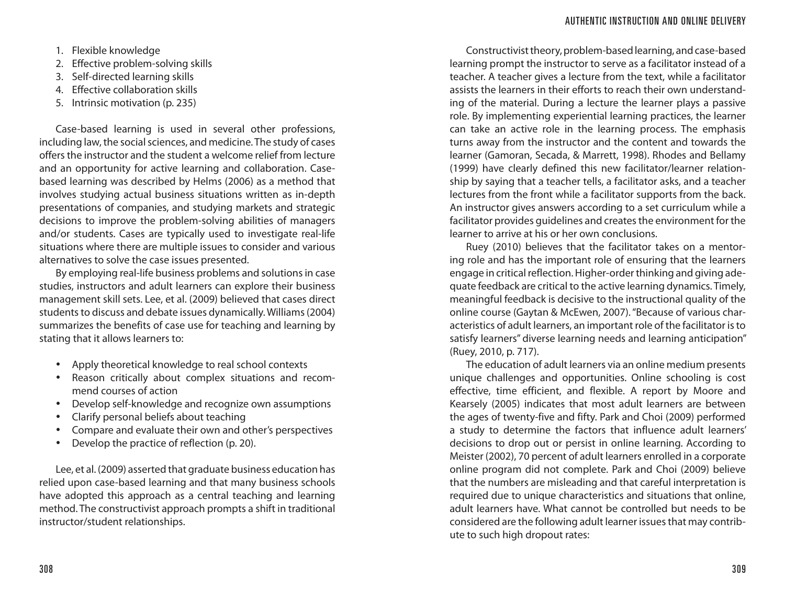1. Flexible knowledge

- 2. Effective problem-solving skills
- 3. Self-directed learning skills
- 4. Effective collaboration skills
- 5. Intrinsic motivation (p. 235)

Case-based learning is used in several other professions, including law, the social sciences, and medicine. The study of cases offers the instructor and the student a welcome relief from lecture and an opportunity for active learning and collaboration. Casebased learning was described by Helms (2006) as a method that involves studying actual business situations written as in-depth presentations of companies, and studying markets and strategic decisions to improve the problem-solving abilities of managers and/or students. Cases are typically used to investigate real-life situations where there are multiple issues to consider and various alternatives to solve the case issues presented.

By employing real-life business problems and solutions in case studies, instructors and adult learners can explore their business management skill sets. Lee, et al. (2009) believed that cases direct students to discuss and debate issues dynamically. Williams (2004) summarizes the benefits of case use for teaching and learning by stating that it allows learners to:

- Apply theoretical knowledge to real school contexts
- Reason critically about complex situations and recommend courses of action
- Develop self-knowledge and recognize own assumptions
- Clarify personal beliefs about teaching
- Compare and evaluate their own and other's perspectives
- Develop the practice of reflection (p. 20).

Lee, et al. (2009) asserted that graduate business education has relied upon case-based learning and that many business schools have adopted this approach as a central teaching and learning method. The constructivist approach prompts a shift in traditional instructor/student relationships.

Constructivist theory, problem-based learning, and case-based learning prompt the instructor to serve as a facilitator instead of a teacher. A teacher gives a lecture from the text, while a facilitator assists the learners in their efforts to reach their own understanding of the material. During a lecture the learner plays a passive role. By implementing experiential learning practices, the learner can take an active role in the learning process. The emphasis turns away from the instructor and the content and towards the learner (Gamoran, Secada, & Marrett, 1998). Rhodes and Bellamy (1999) have clearly defined this new facilitator/learner relationship by saying that a teacher tells, a facilitator asks, and a teacher lectures from the front while a facilitator supports from the back. An instructor gives answers according to a set curriculum while a facilitator provides guidelines and creates the environment for the learner to arrive at his or her own conclusions.

Ruey (2010) believes that the facilitator takes on a mentoring role and has the important role of ensuring that the learners engage in critical reflection. Higher-order thinking and giving adequate feedback are critical to the active learning dynamics. Timely, meaningful feedback is decisive to the instructional quality of the online course (Gaytan & McEwen, 2007). "Because of various characteristics of adult learners, an important role of the facilitator is to satisfy learners" diverse learning needs and learning anticipation" (Ruey, 2010, p. 717).

The education of adult learners via an online medium presents unique challenges and opportunities. Online schooling is cost effective, time efficient, and flexible. A report by Moore and Kearsely (2005) indicates that most adult learners are between the ages of twenty-five and fifty. Park and Choi (2009) performed a study to determine the factors that influence adult learners' decisions to drop out or persist in online learning. According to Meister (2002), 70 percent of adult learners enrolled in a corporate online program did not complete. Park and Choi (2009) believe that the numbers are misleading and that careful interpretation is required due to unique characteristics and situations that online, adult learners have. What cannot be controlled but needs to be considered are the following adult learner issues that may contribute to such high dropout rates: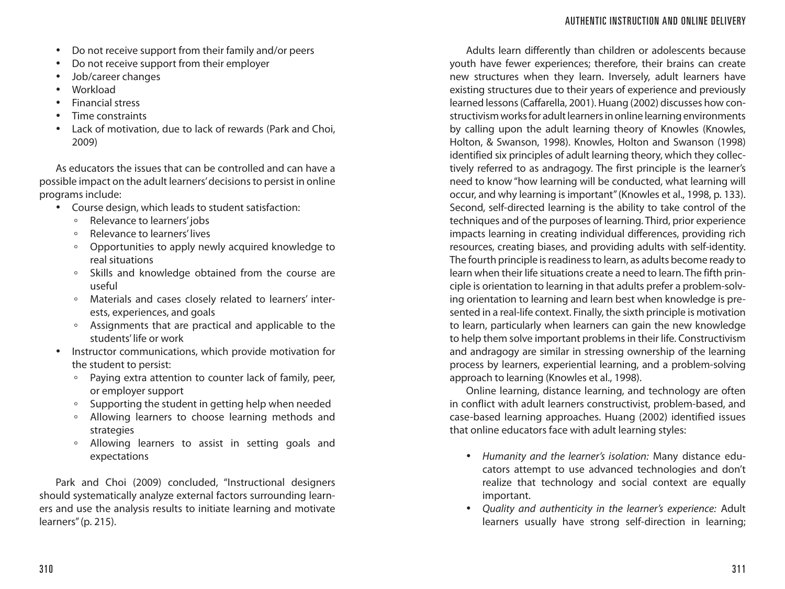- Do not receive support from their family and/or peers
- Do not receive support from their employer
- Job/career changes
- Workload
- Financial stress
- Time constraints
- Lack of motivation, due to lack of rewards (Park and Choi, 2009)

As educators the issues that can be controlled and can have a possible impact on the adult learners' decisions to persist in online programs include:

- Course design, which leads to student satisfaction:
	- Relevance to learners' jobs<br>◦ Relevance to learners' lives
	- ° Relevance to learners' lives
	- ° Opportunities to apply newly acquired knowledge to real situations
	- ° Skills and knowledge obtained from the course are useful
	- ° Materials and cases closely related to learners' interests, experiences, and goals
	- ° Assignments that are practical and applicable to the students' life or work
- Instructor communications, which provide motivation for the student to persist:
	- ° Paying extra attention to counter lack of family, peer, or employer support
	- ° Supporting the student in getting help when needed
	- ° Allowing learners to choose learning methods and strategies
	- ° Allowing learners to assist in setting goals and expectations

Park and Choi (2009) concluded, "Instructional designers should systematically analyze external factors surrounding learners and use the analysis results to initiate learning and motivate learners" (p. 215).

Adults learn differently than children or adolescents because youth have fewer experiences; therefore, their brains can create new structures when they learn. Inversely, adult learners have existing structures due to their years of experience and previously learned lessons (Caffarella, 2001). Huang (2002) discusses how constructivism works for adult learners in online learning environments by calling upon the adult learning theory of Knowles (Knowles, Holton, & Swanson, 1998). Knowles, Holton and Swanson (1998) identified six principles of adult learning theory, which they collectively referred to as andragogy. The first principle is the learner's need to know "how learning will be conducted, what learning will occur, and why learning is important" (Knowles et al., 1998, p. 133). Second, self-directed learning is the ability to take control of the techniques and of the purposes of learning. Third, prior experience impacts learning in creating individual differences, providing rich resources, creating biases, and providing adults with self-identity. The fourth principle is readiness to learn, as adults become ready to learn when their life situations create a need to learn. The fifth principle is orientation to learning in that adults prefer a problem-solving orientation to learning and learn best when knowledge is presented in a real-life context. Finally, the sixth principle is motivation to learn, particularly when learners can gain the new knowledge to help them solve important problems in their life. Constructivism and andragogy are similar in stressing ownership of the learning process by learners, experiential learning, and a problem-solving approach to learning (Knowles et al., 1998).

Online learning, distance learning, and technology are often in conflict with adult learners constructivist, problem-based, and case-based learning approaches. Huang (2002) identified issues that online educators face with adult learning styles:

- *Humanity and the learner's isolation:* Many distance educators attempt to use advanced technologies and don't realize that technology and social context are equally important.
- *Quality and authenticity in the learner's experience:* Adult learners usually have strong self-direction in learning;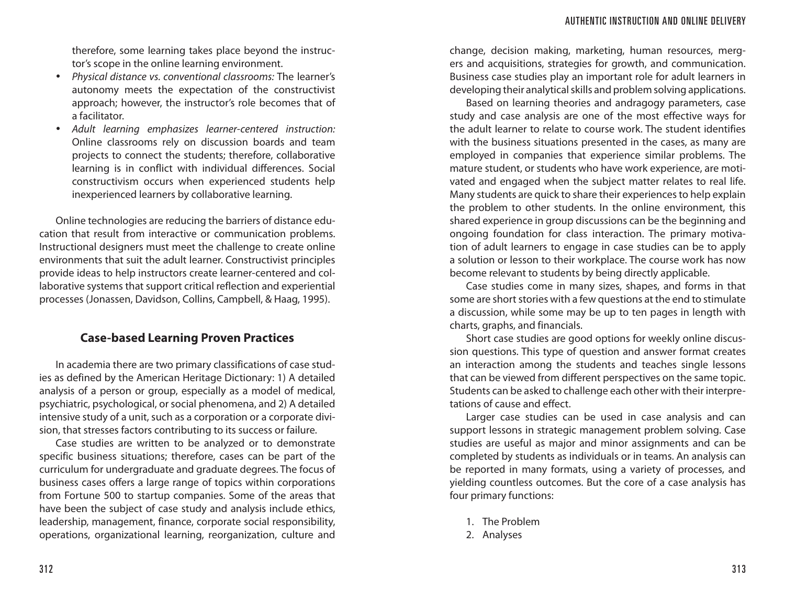therefore, some learning takes place beyond the instructor's scope in the online learning environment.

- *Physical distance vs. conventional classrooms:* The learner's autonomy meets the expectation of the constructivist approach; however, the instructor's role becomes that of a facilitator.
- *Adult learning emphasizes learner-centered instruction:* Online classrooms rely on discussion boards and team projects to connect the students; therefore, collaborative learning is in conflict with individual differences. Social constructivism occurs when experienced students help inexperienced learners by collaborative learning.

Online technologies are reducing the barriers of distance education that result from interactive or communication problems. Instructional designers must meet the challenge to create online environments that suit the adult learner. Constructivist principles provide ideas to help instructors create learner-centered and collaborative systems that support critical reflection and experiential processes (Jonassen, Davidson, Collins, Campbell, & Haag, 1995).

# **Case-based Learning Proven Practices**

In academia there are two primary classifications of case studies as defined by the American Heritage Dictionary: 1) A detailed analysis of a person or group, especially as a model of medical, psychiatric, psychological, or social phenomena, and 2) A detailed intensive study of a unit, such as a corporation or a corporate division, that stresses factors contributing to its success or failure.

Case studies are written to be analyzed or to demonstrate specific business situations; therefore, cases can be part of the curriculum for undergraduate and graduate degrees. The focus of business cases offers a large range of topics within corporations from Fortune 500 to startup companies. Some of the areas that have been the subject of case study and analysis include ethics, leadership, management, finance, corporate social responsibility, operations, organizational learning, reorganization, culture and

change, decision making, marketing, human resources, mergers and acquisitions, strategies for growth, and communication. Business case studies play an important role for adult learners in developing their analytical skills and problem solving applications.

Based on learning theories and andragogy parameters, case study and case analysis are one of the most effective ways for the adult learner to relate to course work. The student identifies with the business situations presented in the cases, as many are employed in companies that experience similar problems. The mature student, or students who have work experience, are motivated and engaged when the subject matter relates to real life. Many students are quick to share their experiences to help explain the problem to other students. In the online environment, this shared experience in group discussions can be the beginning and ongoing foundation for class interaction. The primary motivation of adult learners to engage in case studies can be to apply a solution or lesson to their workplace. The course work has now become relevant to students by being directly applicable.

Case studies come in many sizes, shapes, and forms in that some are short stories with a few questions at the end to stimulate a discussion, while some may be up to ten pages in length with charts, graphs, and financials.

Short case studies are good options for weekly online discussion questions. This type of question and answer format creates an interaction among the students and teaches single lessons that can be viewed from different perspectives on the same topic. Students can be asked to challenge each other with their interpretations of cause and effect.

Larger case studies can be used in case analysis and can support lessons in strategic management problem solving. Case studies are useful as major and minor assignments and can be completed by students as individuals or in teams. An analysis can be reported in many formats, using a variety of processes, and yielding countless outcomes. But the core of a case analysis has four primary functions:

- 1. The Problem
- 2. Analyses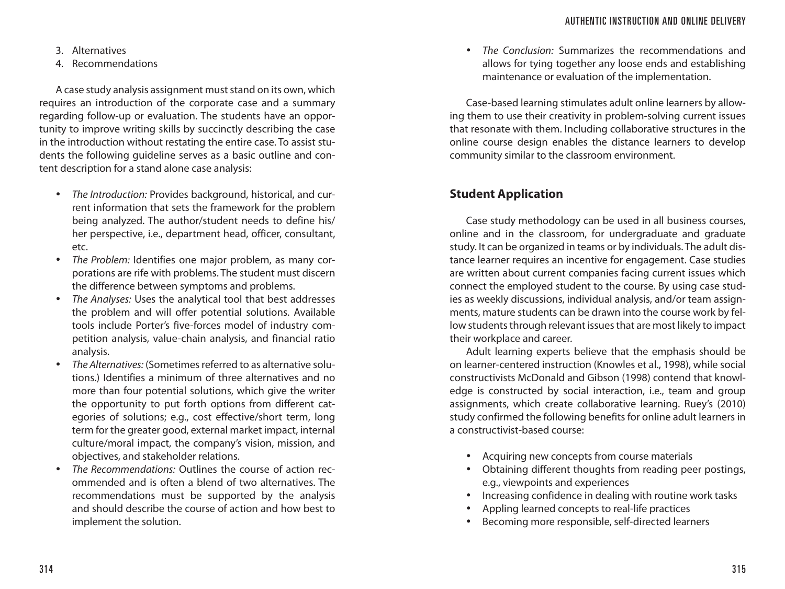3. Alternatives

4. Recommendations

A case study analysis assignment must stand on its own, which requires an introduction of the corporate case and a summary regarding follow-up or evaluation. The students have an opportunity to improve writing skills by succinctly describing the case in the introduction without restating the entire case. To assist students the following guideline serves as a basic outline and content description for a stand alone case analysis:

- *The Introduction:* Provides background, historical, and current information that sets the framework for the problem being analyzed. The author/student needs to define his/ her perspective, i.e., department head, officer, consultant, etc.
- *The Problem:* Identifies one major problem, as many corporations are rife with problems. The student must discern the difference between symptoms and problems.
- *The Analyses:* Uses the analytical tool that best addresses the problem and will offer potential solutions. Available tools include Porter's five-forces model of industry competition analysis, value-chain analysis, and financial ratio analysis.
- *The Alternatives:* (Sometimes referred to as alternative solutions.) Identifies a minimum of three alternatives and no more than four potential solutions, which give the writer the opportunity to put forth options from different categories of solutions; e.g., cost effective/short term, long term for the greater good, external market impact, internal culture/moral impact, the company's vision, mission, and objectives, and stakeholder relations.
- *The Recommendations:* Outlines the course of action recommended and is often a blend of two alternatives. The recommendations must be supported by the analysis and should describe the course of action and how best to implement the solution.

• *The Conclusion:* Summarizes the recommendations and allows for tying together any loose ends and establishing maintenance or evaluation of the implementation.

Case-based learning stimulates adult online learners by allowing them to use their creativity in problem-solving current issues that resonate with them. Including collaborative structures in the online course design enables the distance learners to develop community similar to the classroom environment.

# **Student Application**

Case study methodology can be used in all business courses, online and in the classroom, for undergraduate and graduate study. It can be organized in teams or by individuals. The adult distance learner requires an incentive for engagement. Case studies are written about current companies facing current issues which connect the employed student to the course. By using case studies as weekly discussions, individual analysis, and/or team assignments, mature students can be drawn into the course work by fellow students through relevant issues that are most likely to impact their workplace and career.

Adult learning experts believe that the emphasis should be on learner-centered instruction (Knowles et al., 1998), while social constructivists McDonald and Gibson (1998) contend that knowledge is constructed by social interaction, i.e., team and group assignments, which create collaborative learning. Ruey's (2010) study confirmed the following benefits for online adult learners in a constructivist-based course:

- Acquiring new concepts from course materials
- Obtaining different thoughts from reading peer postings, e.g., viewpoints and experiences
- Increasing confidence in dealing with routine work tasks
- Appling learned concepts to real-life practices
- Becoming more responsible, self-directed learners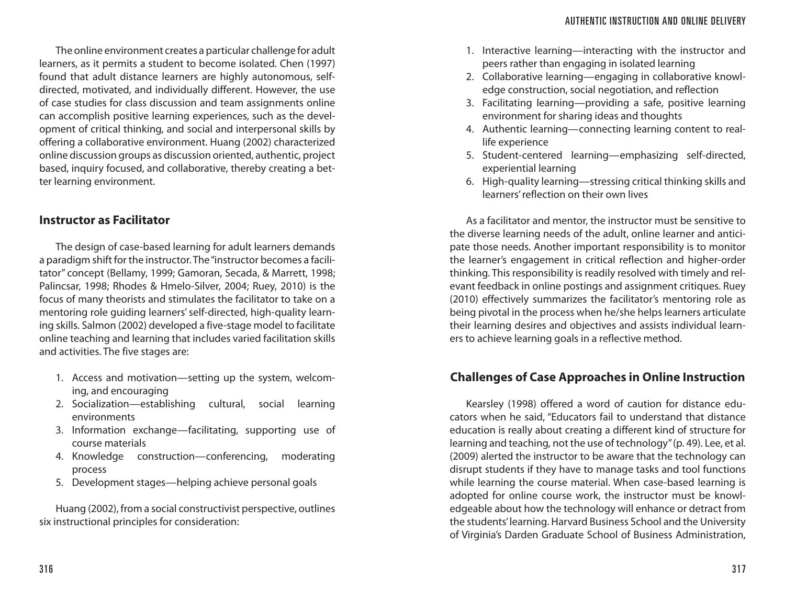The online environment creates a particular challenge for adult learners, as it permits a student to become isolated. Chen (1997) found that adult distance learners are highly autonomous, selfdirected, motivated, and individually different. However, the use of case studies for class discussion and team assignments online can accomplish positive learning experiences, such as the development of critical thinking, and social and interpersonal skills by offering a collaborative environment. Huang (2002) characterized online discussion groups as discussion oriented, authentic, project based, inquiry focused, and collaborative, thereby creating a better learning environment.

# **Instructor as Facilitator**

The design of case-based learning for adult learners demands a paradigm shift for the instructor. The "instructor becomes a facilitator" concept (Bellamy, 1999; Gamoran, Secada, & Marrett, 1998; Palincsar, 1998; Rhodes & Hmelo-Silver, 2004; Ruey, 2010) is the focus of many theorists and stimulates the facilitator to take on a mentoring role guiding learners' self-directed, high-quality learning skills. Salmon (2002) developed a five-stage model to facilitate online teaching and learning that includes varied facilitation skills and activities. The five stages are:

- 1. Access and motivation—setting up the system, welcoming, and encouraging
- 2. Socialization—establishing cultural, social learning environments
- 3. Information exchange—facilitating, supporting use of course materials
- 4. Knowledge construction—conferencing, moderating process
- 5. Development stages—helping achieve personal goals

Huang (2002), from a social constructivist perspective, outlines six instructional principles for consideration:

- 1. Interactive learning—interacting with the instructor and peers rather than engaging in isolated learning
- 2. Collaborative learning—engaging in collaborative knowledge construction, social negotiation, and reflection
- 3. Facilitating learning—providing a safe, positive learning environment for sharing ideas and thoughts
- 4. Authentic learning—connecting learning content to reallife experience
- 5. Student-centered learning—emphasizing self-directed, experiential learning
- 6. High-quality learning—stressing critical thinking skills and learners' reflection on their own lives

As a facilitator and mentor, the instructor must be sensitive to the diverse learning needs of the adult, online learner and anticipate those needs. Another important responsibility is to monitor the learner's engagement in critical reflection and higher-order thinking. This responsibility is readily resolved with timely and relevant feedback in online postings and assignment critiques. Ruey (2010) effectively summarizes the facilitator's mentoring role as being pivotal in the process when he/she helps learners articulate their learning desires and objectives and assists individual learners to achieve learning goals in a reflective method.

# **Challenges of Case Approaches in Online Instruction**

Kearsley (1998) offered a word of caution for distance educators when he said, "Educators fail to understand that distance education is really about creating a different kind of structure for learning and teaching, not the use of technology" (p. 49). Lee, et al. (2009) alerted the instructor to be aware that the technology can disrupt students if they have to manage tasks and tool functions while learning the course material. When case-based learning is adopted for online course work, the instructor must be knowledgeable about how the technology will enhance or detract from the students' learning. Harvard Business School and the University of Virginia's Darden Graduate School of Business Administration,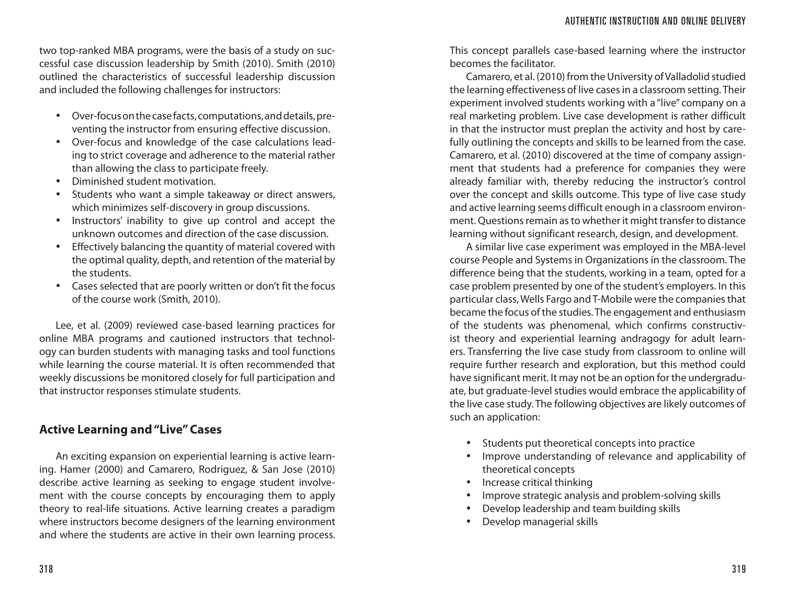two top-ranked MBA programs, were the basis of a study on successful case discussion leadership by Smith (2010). Smith (2010) outlined the characteristics of successful leadership discussion and included the following challenges for instructors:

- Over-focus on the case facts, computations, and details, preventing the instructor from ensuring effective discussion.
- Over-focus and knowledge of the case calculations leading to strict coverage and adherence to the material rather than allowing the class to participate freely.
- Diminished student motivation.
- Students who want a simple takeaway or direct answers, which minimizes self-discovery in group discussions.
- Instructors' inability to give up control and accept the unknown outcomes and direction of the case discussion.
- Effectively balancing the quantity of material covered with the optimal quality, depth, and retention of the material by the students.
- Cases selected that are poorly written or don't fit the focus of the course work (Smith, 2010).

Lee, et al. (2009) reviewed case-based learning practices for online MBA programs and cautioned instructors that technology can burden students with managing tasks and tool functions while learning the course material. It is often recommended that weekly discussions be monitored closely for full participation and that instructor responses stimulate students.

# **Active Learning and "Live" Cases**

An exciting expansion on experiential learning is active learning. Hamer (2000) and Camarero, Rodriguez, & San Jose (2010) describe active learning as seeking to engage student involvement with the course concepts by encouraging them to apply theory to real-life situations. Active learning creates a paradigm where instructors become designers of the learning environment and where the students are active in their own learning process.

This concept parallels case-based learning where the instructor becomes the facilitator.

Camarero, et al. (2010) from the University of Valladolid studied the learning effectiveness of live cases in a classroom setting. Their experiment involved students working with a "live" company on a real marketing problem. Live case development is rather difficult in that the instructor must preplan the activity and host by carefully outlining the concepts and skills to be learned from the case. Camarero, et al. (2010) discovered at the time of company assignment that students had a preference for companies they were already familiar with, thereby reducing the instructor's control over the concept and skills outcome. This type of live case study and active learning seems difficult enough in a classroom environment. Questions remain as to whether it might transfer to distance learning without significant research, design, and development.

A similar live case experiment was employed in the MBA-level course People and Systems in Organizations in the classroom. The difference being that the students, working in a team, opted for a case problem presented by one of the student's employers. In this particular class, Wells Fargo and T-Mobile were the companies that became the focus of the studies. The engagement and enthusiasm of the students was phenomenal, which confirms constructivist theory and experiential learning andragogy for adult learners. Transferring the live case study from classroom to online will require further research and exploration, but this method could have significant merit. It may not be an option for the undergraduate, but graduate-level studies would embrace the applicability of the live case study. The following objectives are likely outcomes of such an application:

- Students put theoretical concepts into practice
- Improve understanding of relevance and applicability of theoretical concepts
- Increase critical thinking
- Improve strategic analysis and problem-solving skills
- Develop leadership and team building skills
- Develop managerial skills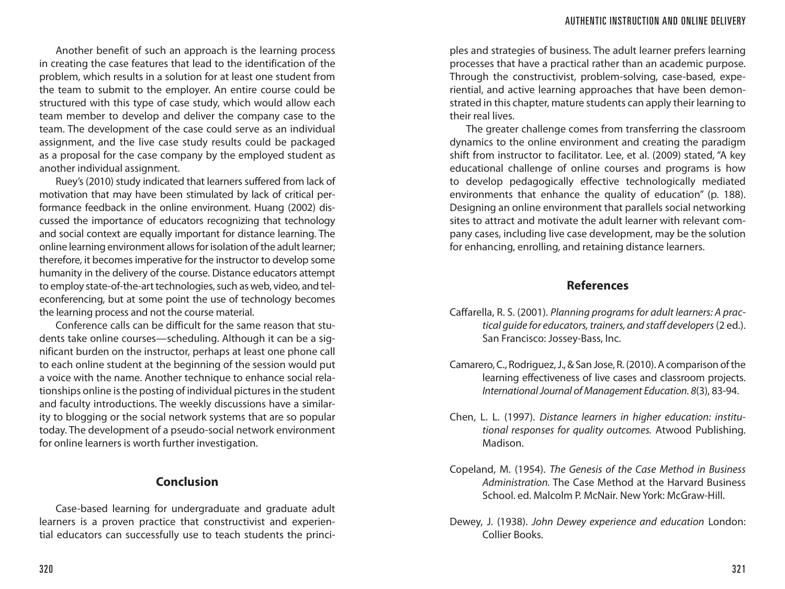Another benefit of such an approach is the learning process in creating the case features that lead to the identification of the problem, which results in a solution for at least one student from the team to submit to the employer. An entire course could be structured with this type of case study, which would allow each team member to develop and deliver the company case to the team. The development of the case could serve as an individual assignment, and the live case study results could be packaged as a proposal for the case company by the employed student as another individual assignment.

Ruey's (2010) study indicated that learners suffered from lack of motivation that may have been stimulated by lack of critical performance feedback in the online environment. Huang (2002) discussed the importance of educators recognizing that technology and social context are equally important for distance learning. The online learning environment allows for isolation of the adult learner; therefore, it becomes imperative for the instructor to develop some humanity in the delivery of the course. Distance educators attempt to employ state-of-the-art technologies, such as web, video, and teleconferencing, but at some point the use of technology becomes the learning process and not the course material.

Conference calls can be difficult for the same reason that students take online courses—scheduling. Although it can be a significant burden on the instructor, perhaps at least one phone call to each online student at the beginning of the session would put a voice with the name. Another technique to enhance social relationships online is the posting of individual pictures in the student and faculty introductions. The weekly discussions have a similarity to blogging or the social network systems that are so popular today. The development of a pseudo-social network environment for online learners is worth further investigation.

# **Conclusion**

Case-based learning for undergraduate and graduate adult learners is a proven practice that constructivist and experiential educators can successfully use to teach students the princi-

ples and strategies of business. The adult learner prefers learning processes that have a practical rather than an academic purpose. Through the constructivist, problem-solving, case-based, experiential, and active learning approaches that have been demonstrated in this chapter, mature students can apply their learning to their real lives.

The greater challenge comes from transferring the classroom dynamics to the online environment and creating the paradigm shift from instructor to facilitator. Lee, et al. (2009) stated, "A key educational challenge of online courses and programs is how to develop pedagogically effective technologically mediated environments that enhance the quality of education" (p. 188). Designing an online environment that parallels social networking sites to attract and motivate the adult learner with relevant company cases, including live case development, may be the solution for enhancing, enrolling, and retaining distance learners.

#### **References**

- Caffarella, R. S. (2001). *Planning programs for adult learners: A practical guide for educators, trainers, and staff developers* (2 ed.). San Francisco: Jossey-Bass, Inc.
- Camarero, C., Rodriguez, J., & San Jose, R. (2010). A comparison of the learning effectiveness of live cases and classroom projects. *International Journal of Management Education. 8*(3), 83-94.
- Chen, L. L. (1997). *Distance learners in higher education: institutional responses for quality outcomes.* Atwood Publishing. Madison.
- Copeland, M. (1954). *The Genesis of the Case Method in Business Administration.* The Case Method at the Harvard Business School. ed. Malcolm P. McNair. New York: McGraw-Hill.
- Dewey, J. (1938). *John Dewey experience and education* London: Collier Books.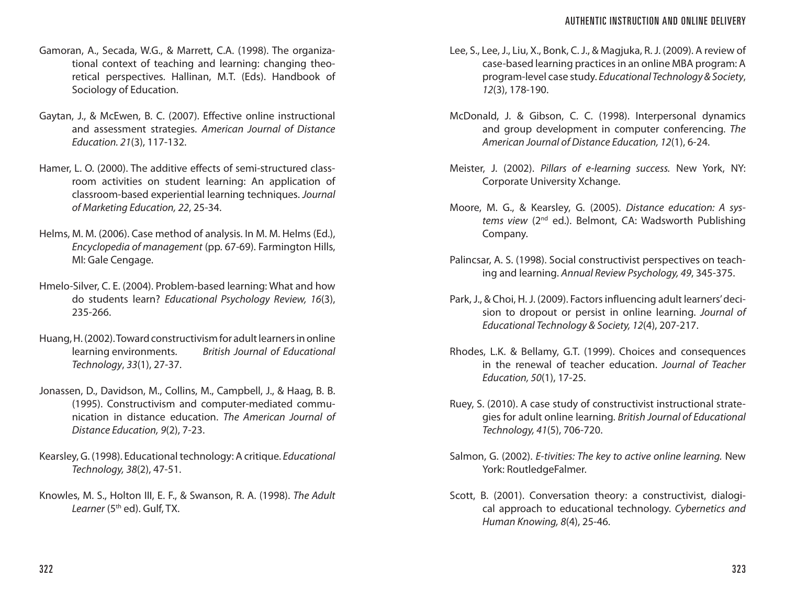- Gamoran, A., Secada, W.G., & Marrett, C.A. (1998). The organizational context of teaching and learning: changing theoretical perspectives. Hallinan, M.T. (Eds). Handbook of Sociology of Education.
- Gaytan, J., & McEwen, B. C. (2007). Effective online instructional and assessment strategies. *American Journal of Distance Education. 21*(3), 117-132.
- Hamer, L. O. (2000). The additive effects of semi-structured classroom activities on student learning: An application of classroom-based experiential learning techniques. *Journal of Marketing Education, 22*, 25-34.
- Helms, M. M. (2006). Case method of analysis. In M. M. Helms (Ed.), *Encyclopedia of management* (pp. 67-69). Farmington Hills, MI: Gale Cengage.
- Hmelo-Silver, C. E. (2004). Problem-based learning: What and how do students learn? *Educational Psychology Review, 16*(3), 235-266.
- Huang, H. (2002). Toward constructivism for adult learners in online learning environments. *British Journal of Educational Technology*, *33*(1), 27-37.
- Jonassen, D., Davidson, M., Collins, M., Campbell, J., & Haag, B. B. (1995). Constructivism and computer-mediated communication in distance education. *The American Journal of Distance Education, 9*(2), 7-23.
- Kearsley, G. (1998). Educational technology: A critique. *Educational Technology, 38*(2), 47-51.
- Knowles, M. S., Holton III, E. F., & Swanson, R. A. (1998). *The Adult*  Learner (5<sup>th</sup> ed). Gulf, TX.
- Lee, S., Lee, J., Liu, X., Bonk, C. J., & Magjuka, R. J. (2009). A review of case-based learning practices in an online MBA program: A program-level case study. *Educational Technology & Society*, *12*(3), 178-190.
- McDonald, J. & Gibson, C. C. (1998). Interpersonal dynamics and group development in computer conferencing. *The American Journal of Distance Education, 12*(1), 6-24.
- Meister, J. (2002). *Pillars of e-learning success.* New York, NY: Corporate University Xchange.
- Moore, M. G., & Kearsley, G. (2005). *Distance education: A systems view* (2nd ed.). Belmont, CA: Wadsworth Publishing Company.
- Palincsar, A. S. (1998). Social constructivist perspectives on teaching and learning. *Annual Review Psychology, 49*, 345-375.
- Park, J., & Choi, H. J. (2009). Factors influencing adult learners' decision to dropout or persist in online learning. *Journal of Educational Technology & Society, 12*(4), 207-217.
- Rhodes, L.K. & Bellamy, G.T. (1999). Choices and consequences in the renewal of teacher education. *Journal of Teacher Education, 50*(1), 17-25.
- Ruey, S. (2010). A case study of constructivist instructional strategies for adult online learning. *British Journal of Educational Technology, 41*(5), 706-720.
- Salmon, G. (2002). *E-tivities: The key to active online learning.* New York: RoutledgeFalmer.
- Scott, B. (2001). Conversation theory: a constructivist, dialogical approach to educational technology. *Cybernetics and Human Knowing, 8*(4), 25-46.